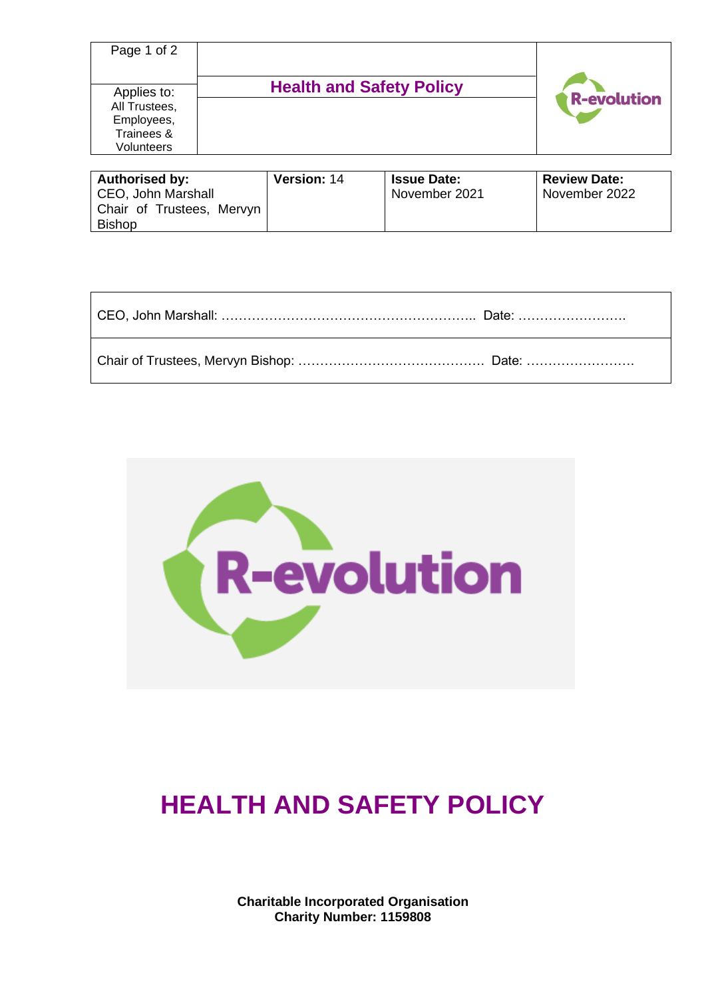| Page 1 of 2                                                                   |                                 |                    |
|-------------------------------------------------------------------------------|---------------------------------|--------------------|
| Applies to:<br>All Trustees,<br>Employees,<br>Trainees &<br><b>Volunteers</b> | <b>Health and Safety Policy</b> | <b>R-evolution</b> |

| <b>Authorised by:</b>     | <b>Version: 14</b> | <b>Issue Date:</b> | <b>Review Date:</b> |
|---------------------------|--------------------|--------------------|---------------------|
| CEO, John Marshall        |                    | November 2021      | November 2022       |
| Chair of Trustees, Mervyn |                    |                    |                     |
| <b>Bishop</b>             |                    |                    |                     |

| CEO, John Marshall: ……………………………………………………… Date: …………………… |  |
|----------------------------------------------------------|--|
|                                                          |  |



# **HEALTH AND SAFETY POLICY**

**Charitable Incorporated Organisation Charity Number: 1159808**